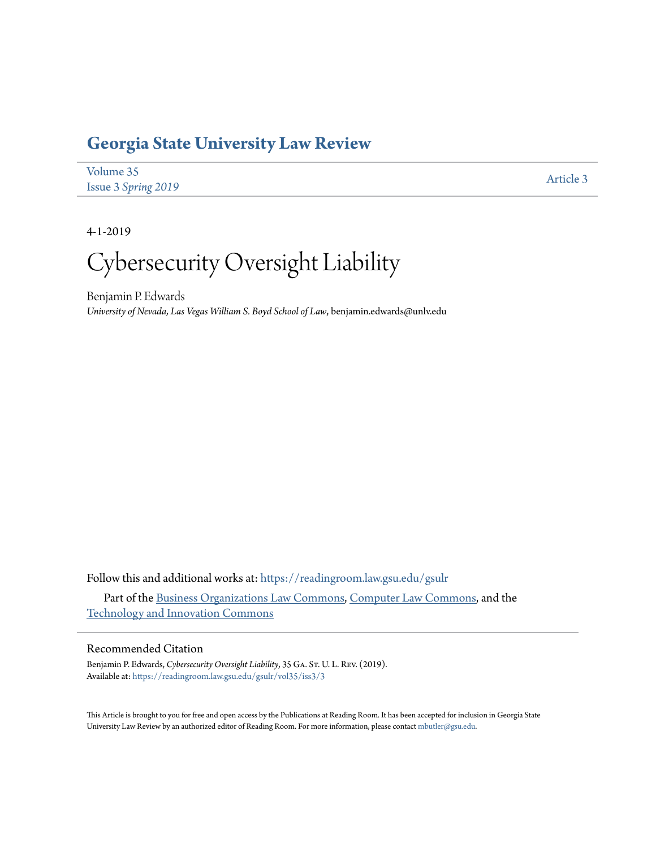# **[Georgia State University Law Review](https://readingroom.law.gsu.edu/gsulr?utm_source=readingroom.law.gsu.edu%2Fgsulr%2Fvol35%2Fiss3%2F3&utm_medium=PDF&utm_campaign=PDFCoverPages)**

| Volume 35           | Article 3 |
|---------------------|-----------|
| Issue 3 Spring 2019 |           |

4-1-2019

# Cybersecurity Oversight Liability

Benjamin P. Edwards *University of Nevada, Las Vegas William S. Boyd School of Law*, benjamin.edwards@unlv.edu

Follow this and additional works at: [https://readingroom.law.gsu.edu/gsulr](https://readingroom.law.gsu.edu/gsulr?utm_source=readingroom.law.gsu.edu%2Fgsulr%2Fvol35%2Fiss3%2F3&utm_medium=PDF&utm_campaign=PDFCoverPages) Part of the [Business Organizations Law Commons,](http://network.bepress.com/hgg/discipline/900?utm_source=readingroom.law.gsu.edu%2Fgsulr%2Fvol35%2Fiss3%2F3&utm_medium=PDF&utm_campaign=PDFCoverPages) [Computer Law Commons,](http://network.bepress.com/hgg/discipline/837?utm_source=readingroom.law.gsu.edu%2Fgsulr%2Fvol35%2Fiss3%2F3&utm_medium=PDF&utm_campaign=PDFCoverPages) and the

[Technology and Innovation Commons](http://network.bepress.com/hgg/discipline/644?utm_source=readingroom.law.gsu.edu%2Fgsulr%2Fvol35%2Fiss3%2F3&utm_medium=PDF&utm_campaign=PDFCoverPages)

# Recommended Citation

Benjamin P. Edwards, *Cybersecurity Oversight Liability*, 35 GA. St. U. L. Rev. (2019). Available at: [https://readingroom.law.gsu.edu/gsulr/vol35/iss3/3](https://readingroom.law.gsu.edu/gsulr/vol35/iss3/3?utm_source=readingroom.law.gsu.edu%2Fgsulr%2Fvol35%2Fiss3%2F3&utm_medium=PDF&utm_campaign=PDFCoverPages)

This Article is brought to you for free and open access by the Publications at Reading Room. It has been accepted for inclusion in Georgia State University Law Review by an authorized editor of Reading Room. For more information, please contact [mbutler@gsu.edu.](mailto:mbutler@gsu.edu)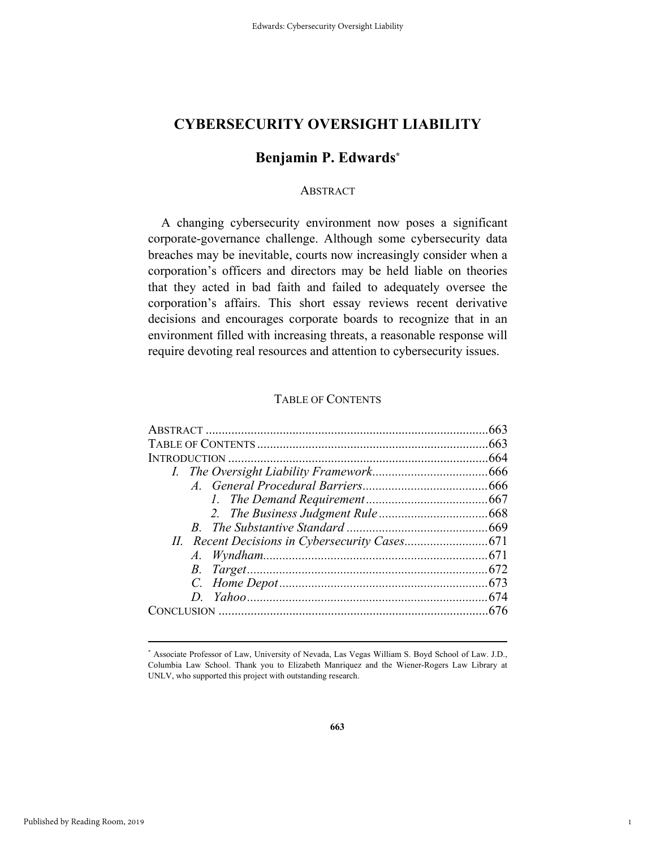# **Benjamin P. Edwards\***

# **ABSTRACT**

A changing cybersecurity environment now poses a significant corporate-governance challenge. Although some cybersecurity data breaches may be inevitable, courts now increasingly consider when a corporation's officers and directors may be held liable on theories that they acted in bad faith and failed to adequately oversee the corporation's affairs. This short essay reviews recent derivative decisions and encourages corporate boards to recognize that in an environment filled with increasing threats, a reasonable response will require devoting real resources and attention to cybersecurity issues.

# TABLE OF CONTENTS

| 076.com/index.com/index.com/index.com/index.com/index.com/index.com/index.com/index.com/index.com/in |  |
|------------------------------------------------------------------------------------------------------|--|
|                                                                                                      |  |

1

 <sup>\*</sup> Associate Professor of Law, University of Nevada, Las Vegas William S. Boyd School of Law. J.D., Columbia Law School. Thank you to Elizabeth Manriquez and the Wiener-Rogers Law Library at UNLV, who supported this project with outstanding research.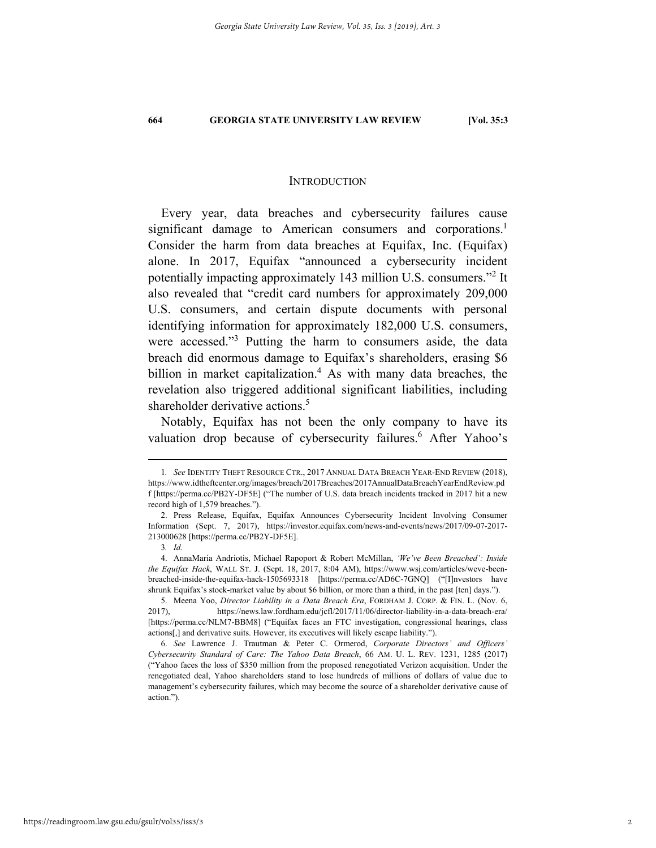## **INTRODUCTION**

Every year, data breaches and cybersecurity failures cause significant damage to American consumers and corporations.<sup>1</sup> Consider the harm from data breaches at Equifax, Inc. (Equifax) alone. In 2017, Equifax "announced a cybersecurity incident potentially impacting approximately 143 million U.S. consumers."<sup>2</sup> It also revealed that "credit card numbers for approximately 209,000 U.S. consumers, and certain dispute documents with personal identifying information for approximately 182,000 U.S. consumers, were accessed."<sup>3</sup> Putting the harm to consumers aside, the data breach did enormous damage to Equifax's shareholders, erasing \$6 billion in market capitalization.<sup>4</sup> As with many data breaches, the revelation also triggered additional significant liabilities, including shareholder derivative actions.<sup>5</sup>

Notably, Equifax has not been the only company to have its valuation drop because of cybersecurity failures.<sup>6</sup> After Yahoo's

 <sup>1</sup>*. See* IDENTITY THEFT RESOURCE CTR., 2017 ANNUAL DATA BREACH YEAR-END REVIEW (2018), https://www.idtheftcenter.org/images/breach/2017Breaches/2017AnnualDataBreachYearEndReview.pd f [https://perma.cc/PB2Y-DF5E] ("The number of U.S. data breach incidents tracked in 2017 hit a new record high of 1,579 breaches.").

 <sup>2.</sup> Press Release, Equifax, Equifax Announces Cybersecurity Incident Involving Consumer Information (Sept. 7, 2017), https://investor.equifax.com/news-and-events/news/2017/09-07-2017- 213000628 [https://perma.cc/PB2Y-DF5E].

<sup>3</sup>*. Id.* 

 <sup>4.</sup> AnnaMaria Andriotis, Michael Rapoport & Robert McMillan, *'We've Been Breached': Inside the Equifax Hack*, WALL ST. J. (Sept. 18, 2017, 8:04 AM), https://www.wsj.com/articles/weve-beenbreached-inside-the-equifax-hack-1505693318 [https://perma.cc/AD6C-7GNQ] ("[I]nvestors have shrunk Equifax's stock-market value by about \$6 billion, or more than a third, in the past [ten] days.").

 <sup>5.</sup> Meena Yoo, *Director Liability in a Data Breach Era*, FORDHAM J. CORP. & FIN. L. (Nov. 6, 2017), https://news.law.fordham.edu/jcfl/2017/11/06/director-liability-in-a-data-breach-era/ [https://perma.cc/NLM7-BBM8] ("Equifax faces an FTC investigation, congressional hearings, class actions[,] and derivative suits. However, its executives will likely escape liability.").

 <sup>6.</sup> *See* Lawrence J. Trautman & Peter C. Ormerod, *Corporate Directors' and Officers' Cybersecurity Standard of Care: The Yahoo Data Breach*, 66 AM. U. L. REV. 1231, 1285 (2017) ("Yahoo faces the loss of \$350 million from the proposed renegotiated Verizon acquisition. Under the renegotiated deal, Yahoo shareholders stand to lose hundreds of millions of dollars of value due to management's cybersecurity failures, which may become the source of a shareholder derivative cause of action.").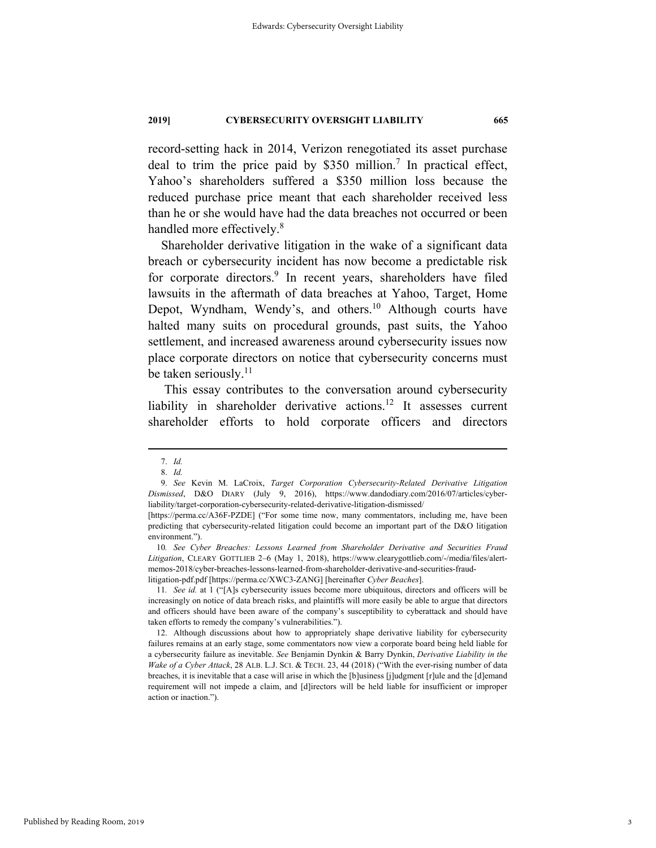record-setting hack in 2014, Verizon renegotiated its asset purchase deal to trim the price paid by  $$350$  million.<sup>7</sup> In practical effect, Yahoo's shareholders suffered a \$350 million loss because the reduced purchase price meant that each shareholder received less than he or she would have had the data breaches not occurred or been handled more effectively.<sup>8</sup>

Shareholder derivative litigation in the wake of a significant data breach or cybersecurity incident has now become a predictable risk for corporate directors.<sup>9</sup> In recent years, shareholders have filed lawsuits in the aftermath of data breaches at Yahoo, Target, Home Depot, Wyndham, Wendy's, and others.<sup>10</sup> Although courts have halted many suits on procedural grounds, past suits, the Yahoo settlement, and increased awareness around cybersecurity issues now place corporate directors on notice that cybersecurity concerns must be taken seriously. $^{11}$ 

 This essay contributes to the conversation around cybersecurity liability in shareholder derivative actions.<sup>12</sup> It assesses current shareholder efforts to hold corporate officers and directors

 <sup>7.</sup> *Id.*

 <sup>8.</sup> *Id.* 

 <sup>9.</sup> *See* Kevin M. LaCroix, *Target Corporation Cybersecurity-Related Derivative Litigation Dismissed*, D&O DIARY (July 9, 2016), https://www.dandodiary.com/2016/07/articles/cyberliability/target-corporation-cybersecurity-related-derivative-litigation-dismissed/

<sup>[</sup>https://perma.cc/A36F-PZDE] ("For some time now, many commentators, including me, have been predicting that cybersecurity-related litigation could become an important part of the D&O litigation environment.").

<sup>10</sup>*. See Cyber Breaches: Lessons Learned from Shareholder Derivative and Securities Fraud Litigation*, CLEARY GOTTLIEB 2–6 (May 1, 2018), https://www.clearygottlieb.com/-/media/files/alertmemos-2018/cyber-breaches-lessons-learned-from-shareholder-derivative-and-securities-fraudlitigation-pdf.pdf [https://perma.cc/XWC3-ZANG] [hereinafter *Cyber Beaches*].

<sup>11</sup>*. See id.* at 1 ("[A]s cybersecurity issues become more ubiquitous, directors and officers will be increasingly on notice of data breach risks, and plaintiffs will more easily be able to argue that directors and officers should have been aware of the company's susceptibility to cyberattack and should have taken efforts to remedy the company's vulnerabilities.").

 <sup>12.</sup> Although discussions about how to appropriately shape derivative liability for cybersecurity failures remains at an early stage, some commentators now view a corporate board being held liable for a cybersecurity failure as inevitable. *See* Benjamin Dynkin & Barry Dynkin, *Derivative Liability in the Wake of a Cyber Attack*, 28 ALB. L.J. SCI. & TECH. 23, 44 (2018) ("With the ever-rising number of data breaches, it is inevitable that a case will arise in which the [b]usiness [j]udgment [r]ule and the [d]emand requirement will not impede a claim, and [d]irectors will be held liable for insufficient or improper action or inaction.").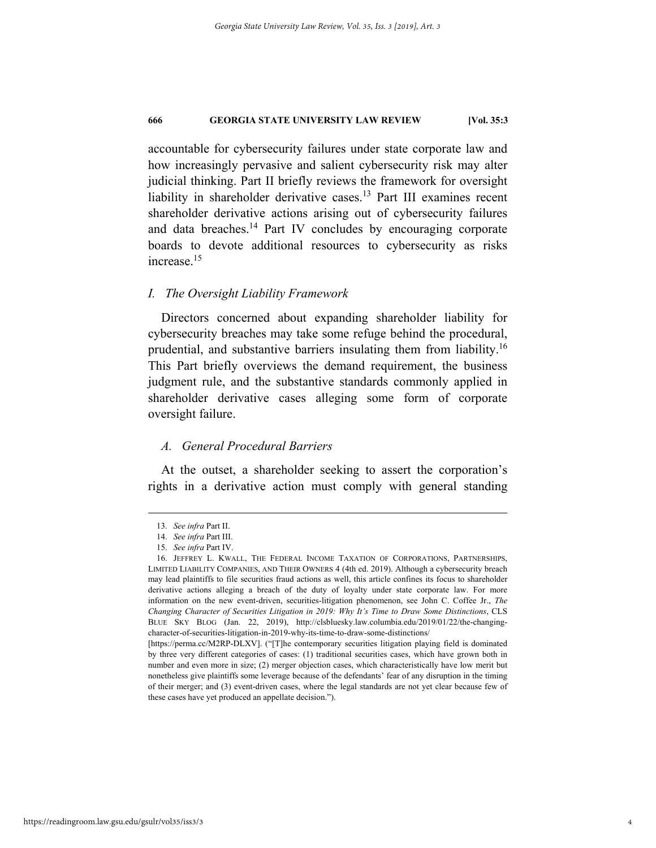accountable for cybersecurity failures under state corporate law and how increasingly pervasive and salient cybersecurity risk may alter judicial thinking. Part II briefly reviews the framework for oversight liability in shareholder derivative cases.<sup>13</sup> Part III examines recent shareholder derivative actions arising out of cybersecurity failures and data breaches.<sup>14</sup> Part IV concludes by encouraging corporate boards to devote additional resources to cybersecurity as risks increase.15

# *I. The Oversight Liability Framework*

Directors concerned about expanding shareholder liability for cybersecurity breaches may take some refuge behind the procedural, prudential, and substantive barriers insulating them from liability.16 This Part briefly overviews the demand requirement, the business judgment rule, and the substantive standards commonly applied in shareholder derivative cases alleging some form of corporate oversight failure.

# *A. General Procedural Barriers*

At the outset, a shareholder seeking to assert the corporation's rights in a derivative action must comply with general standing

 <sup>13.</sup> *See infra* Part II.

 <sup>14.</sup> *See infra* Part III.

 <sup>15.</sup> *See infra* Part IV.

 <sup>16.</sup> JEFFREY L. KWALL, THE FEDERAL INCOME TAXATION OF CORPORATIONS, PARTNERSHIPS, LIMITED LIABILITY COMPANIES, AND THEIR OWNERS 4 (4th ed. 2019). Although a cybersecurity breach may lead plaintiffs to file securities fraud actions as well, this article confines its focus to shareholder derivative actions alleging a breach of the duty of loyalty under state corporate law. For more information on the new event-driven, securities-litigation phenomenon, see John C. Coffee Jr., *The Changing Character of Securities Litigation in 2019: Why It's Time to Draw Some Distinctions*, CLS BLUE SKY BLOG (Jan. 22, 2019), http://clsbluesky.law.columbia.edu/2019/01/22/the-changingcharacter-of-securities-litigation-in-2019-why-its-time-to-draw-some-distinctions/

<sup>[</sup>https://perma.cc/M2RP-DLXV]. ("[T]he contemporary securities litigation playing field is dominated by three very different categories of cases: (1) traditional securities cases, which have grown both in number and even more in size; (2) merger objection cases, which characteristically have low merit but nonetheless give plaintiffs some leverage because of the defendants' fear of any disruption in the timing of their merger; and (3) event-driven cases, where the legal standards are not yet clear because few of these cases have yet produced an appellate decision.").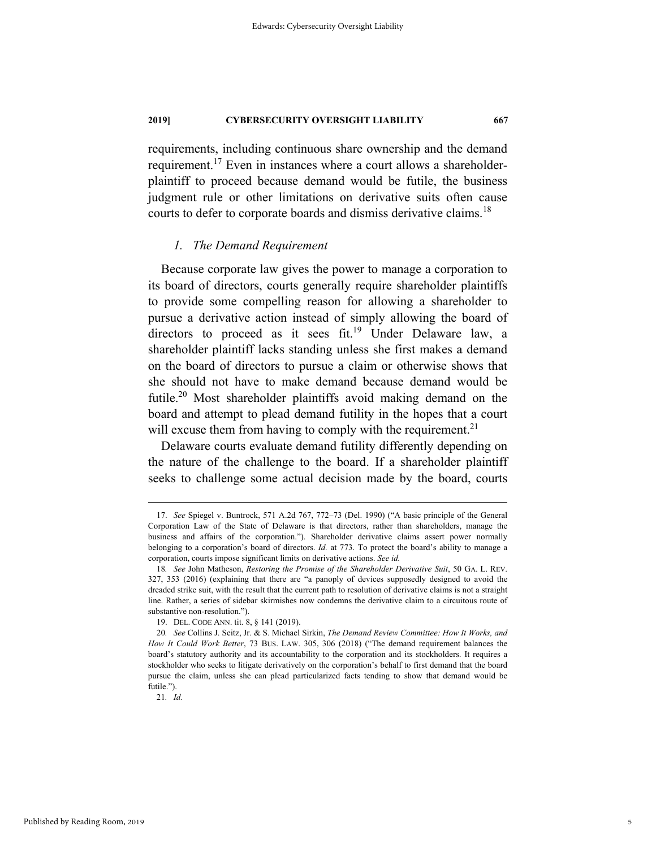requirements, including continuous share ownership and the demand requirement.<sup>17</sup> Even in instances where a court allows a shareholderplaintiff to proceed because demand would be futile, the business judgment rule or other limitations on derivative suits often cause courts to defer to corporate boards and dismiss derivative claims.<sup>18</sup>

## *1. The Demand Requirement*

Because corporate law gives the power to manage a corporation to its board of directors, courts generally require shareholder plaintiffs to provide some compelling reason for allowing a shareholder to pursue a derivative action instead of simply allowing the board of directors to proceed as it sees fit.<sup>19</sup> Under Delaware law, a shareholder plaintiff lacks standing unless she first makes a demand on the board of directors to pursue a claim or otherwise shows that she should not have to make demand because demand would be futile.<sup>20</sup> Most shareholder plaintiffs avoid making demand on the board and attempt to plead demand futility in the hopes that a court will excuse them from having to comply with the requirement.<sup>21</sup>

Delaware courts evaluate demand futility differently depending on the nature of the challenge to the board. If a shareholder plaintiff seeks to challenge some actual decision made by the board, courts

21*. Id.* 

 <sup>17.</sup> *See* Spiegel v. Buntrock, 571 A.2d 767, 772–73 (Del. 1990) ("A basic principle of the General Corporation Law of the State of Delaware is that directors, rather than shareholders, manage the business and affairs of the corporation."). Shareholder derivative claims assert power normally belonging to a corporation's board of directors. *Id.* at 773. To protect the board's ability to manage a corporation, courts impose significant limits on derivative actions. *See id.* 

<sup>18</sup>*. See* John Matheson, *Restoring the Promise of the Shareholder Derivative Suit*, 50 GA. L. REV. 327, 353 (2016) (explaining that there are "a panoply of devices supposedly designed to avoid the dreaded strike suit, with the result that the current path to resolution of derivative claims is not a straight line. Rather, a series of sidebar skirmishes now condemns the derivative claim to a circuitous route of substantive non-resolution.").

 <sup>19.</sup> DEL. CODE ANN. tit. 8, § 141 (2019).

<sup>20</sup>*. See* Collins J. Seitz, Jr. & S. Michael Sirkin, *The Demand Review Committee: How It Works, and How It Could Work Better*, 73 BUS. LAW. 305, 306 (2018) ("The demand requirement balances the board's statutory authority and its accountability to the corporation and its stockholders. It requires a stockholder who seeks to litigate derivatively on the corporation's behalf to first demand that the board pursue the claim, unless she can plead particularized facts tending to show that demand would be futile.").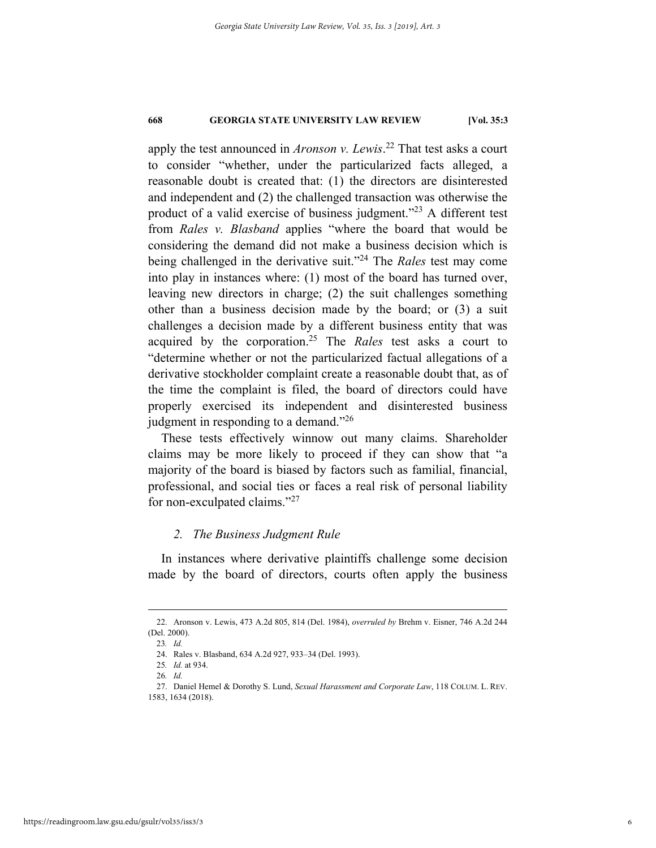apply the test announced in *Aronson v. Lewis*. 22 That test asks a court to consider "whether, under the particularized facts alleged, a reasonable doubt is created that: (1) the directors are disinterested and independent and (2) the challenged transaction was otherwise the product of a valid exercise of business judgment."<sup>23</sup> A different test from *Rales v. Blasband* applies "where the board that would be considering the demand did not make a business decision which is being challenged in the derivative suit."24 The *Rales* test may come into play in instances where: (1) most of the board has turned over, leaving new directors in charge; (2) the suit challenges something other than a business decision made by the board; or (3) a suit challenges a decision made by a different business entity that was acquired by the corporation.25 The *Rales* test asks a court to "determine whether or not the particularized factual allegations of a derivative stockholder complaint create a reasonable doubt that, as of the time the complaint is filed, the board of directors could have properly exercised its independent and disinterested business judgment in responding to a demand."26

These tests effectively winnow out many claims. Shareholder claims may be more likely to proceed if they can show that "a majority of the board is biased by factors such as familial, financial, professional, and social ties or faces a real risk of personal liability for non-exculpated claims."<sup>27</sup>

# *2. The Business Judgment Rule*

In instances where derivative plaintiffs challenge some decision made by the board of directors, courts often apply the business

 <sup>22.</sup> Aronson v. Lewis, 473 A.2d 805, 814 (Del. 1984), *overruled by* Brehm v. Eisner, 746 A.2d 244 (Del. 2000).

<sup>23</sup>*. Id.* 

 <sup>24.</sup> Rales v. Blasband, 634 A.2d 927, 933–34 (Del. 1993).

<sup>25</sup>*. Id.* at 934.

<sup>26</sup>*. Id.* 

 <sup>27.</sup> Daniel Hemel & Dorothy S. Lund, *Sexual Harassment and Corporate Law*, 118 COLUM. L. REV. 1583, 1634 (2018).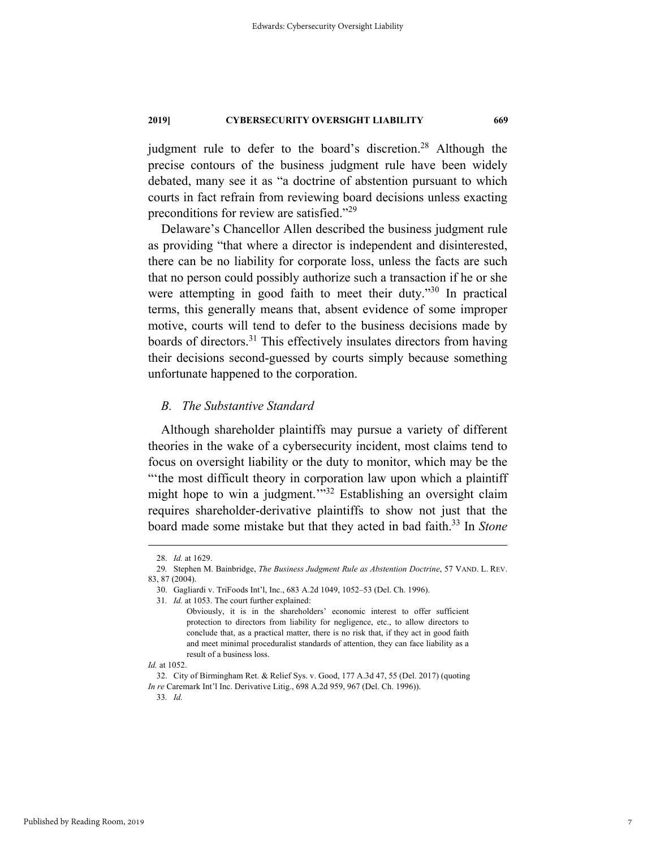judgment rule to defer to the board's discretion.<sup>28</sup> Although the precise contours of the business judgment rule have been widely debated, many see it as "a doctrine of abstention pursuant to which courts in fact refrain from reviewing board decisions unless exacting preconditions for review are satisfied."<sup>29</sup>

Delaware's Chancellor Allen described the business judgment rule as providing "that where a director is independent and disinterested, there can be no liability for corporate loss, unless the facts are such that no person could possibly authorize such a transaction if he or she were attempting in good faith to meet their duty."30 In practical terms, this generally means that, absent evidence of some improper motive, courts will tend to defer to the business decisions made by boards of directors.<sup>31</sup> This effectively insulates directors from having their decisions second-guessed by courts simply because something unfortunate happened to the corporation.

# *B. The Substantive Standard*

Although shareholder plaintiffs may pursue a variety of different theories in the wake of a cybersecurity incident, most claims tend to focus on oversight liability or the duty to monitor, which may be the "the most difficult theory in corporation law upon which a plaintiff might hope to win a judgment."<sup>32</sup> Establishing an oversight claim requires shareholder-derivative plaintiffs to show not just that the board made some mistake but that they acted in bad faith.33 In *Stone* 

 <sup>28.</sup> *Id.* at 1629.

<sup>29</sup>*.* Stephen M. Bainbridge, *The Business Judgment Rule as Abstention Doctrine*, 57 VAND. L. REV. 83, 87 (2004).

 <sup>30.</sup> Gagliardi v. TriFoods Int'l, Inc., 683 A.2d 1049, 1052–53 (Del. Ch. 1996).

<sup>31</sup>*. Id.* at 1053. The court further explained:

Obviously, it is in the shareholders' economic interest to offer sufficient protection to directors from liability for negligence, etc., to allow directors to conclude that, as a practical matter, there is no risk that, if they act in good faith and meet minimal proceduralist standards of attention, they can face liability as a result of a business loss.

*Id.* at 1052.

 <sup>32.</sup> City of Birmingham Ret. & Relief Sys. v. Good, 177 A.3d 47, 55 (Del. 2017) (quoting *In re* Caremark Int'l Inc. Derivative Litig., 698 A.2d 959, 967 (Del. Ch. 1996)). 33*. Id.*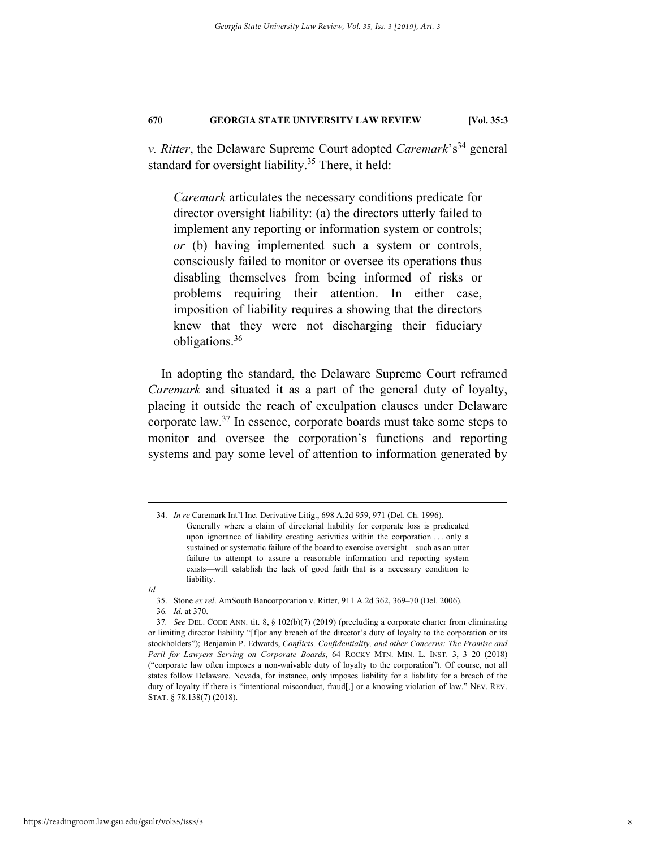*v. Ritter*, the Delaware Supreme Court adopted *Caremark*'s<sup>34</sup> general standard for oversight liability.<sup>35</sup> There, it held:

*Caremark* articulates the necessary conditions predicate for director oversight liability: (a) the directors utterly failed to implement any reporting or information system or controls; *or* (b) having implemented such a system or controls, consciously failed to monitor or oversee its operations thus disabling themselves from being informed of risks or problems requiring their attention. In either case, imposition of liability requires a showing that the directors knew that they were not discharging their fiduciary obligations.36

In adopting the standard, the Delaware Supreme Court reframed *Caremark* and situated it as a part of the general duty of loyalty, placing it outside the reach of exculpation clauses under Delaware corporate law.37 In essence, corporate boards must take some steps to monitor and oversee the corporation's functions and reporting systems and pay some level of attention to information generated by

*Id.* 

 <sup>34.</sup> *In re* Caremark Int'l Inc. Derivative Litig., 698 A.2d 959, 971 (Del. Ch. 1996). Generally where a claim of directorial liability for corporate loss is predicated upon ignorance of liability creating activities within the corporation . . . only a sustained or systematic failure of the board to exercise oversight—such as an utter failure to attempt to assure a reasonable information and reporting system exists—will establish the lack of good faith that is a necessary condition to liability.

 <sup>35.</sup> Stone *ex rel*. AmSouth Bancorporation v. Ritter, 911 A.2d 362, 369–70 (Del. 2006).

<sup>36</sup>*. Id.* at 370.

<sup>37</sup>*. See* DEL. CODE ANN. tit. 8, § 102(b)(7) (2019) (precluding a corporate charter from eliminating or limiting director liability "[f]or any breach of the director's duty of loyalty to the corporation or its stockholders"); Benjamin P. Edwards, *Conflicts, Confidentiality, and other Concerns: The Promise and Peril for Lawyers Serving on Corporate Boards*, 64 ROCKY MTN. MIN. L. INST. 3, 3–20 (2018) ("corporate law often imposes a non-waivable duty of loyalty to the corporation"). Of course, not all states follow Delaware. Nevada, for instance, only imposes liability for a liability for a breach of the duty of loyalty if there is "intentional misconduct, fraud[,] or a knowing violation of law." NEV. REV. STAT. § 78.138(7) (2018).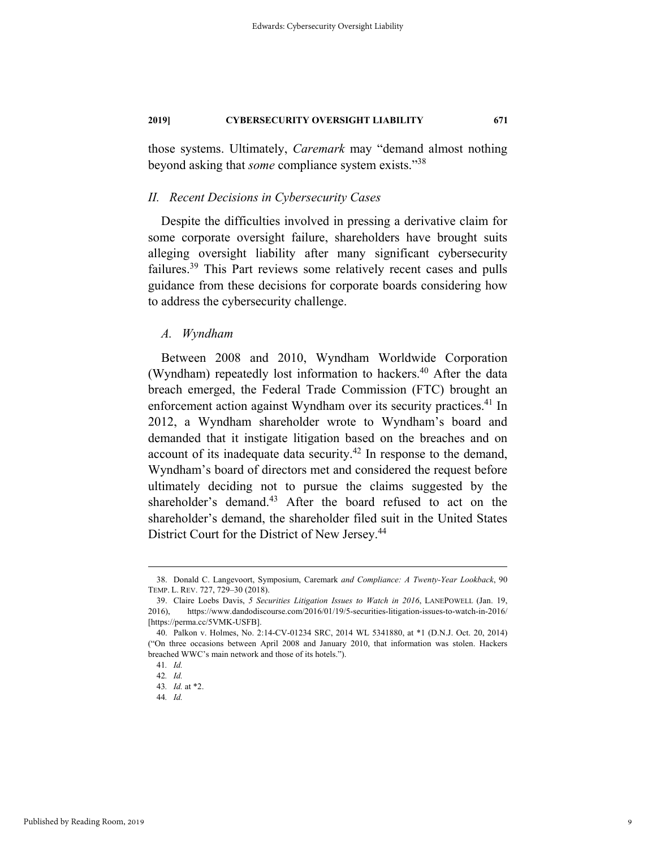those systems. Ultimately, *Caremark* may "demand almost nothing beyond asking that *some* compliance system exists."38

# *II. Recent Decisions in Cybersecurity Cases*

Despite the difficulties involved in pressing a derivative claim for some corporate oversight failure, shareholders have brought suits alleging oversight liability after many significant cybersecurity failures.<sup>39</sup> This Part reviews some relatively recent cases and pulls guidance from these decisions for corporate boards considering how to address the cybersecurity challenge.

## *A. Wyndham*

Between 2008 and 2010, Wyndham Worldwide Corporation (Wyndham) repeatedly lost information to hackers.<sup>40</sup> After the data breach emerged, the Federal Trade Commission (FTC) brought an enforcement action against Wyndham over its security practices.<sup>41</sup> In 2012, a Wyndham shareholder wrote to Wyndham's board and demanded that it instigate litigation based on the breaches and on account of its inadequate data security.<sup>42</sup> In response to the demand, Wyndham's board of directors met and considered the request before ultimately deciding not to pursue the claims suggested by the shareholder's demand.<sup>43</sup> After the board refused to act on the shareholder's demand, the shareholder filed suit in the United States District Court for the District of New Jersey.<sup>44</sup>

 <sup>38.</sup> Donald C. Langevoort, Symposium, Caremark *and Compliance: A Twenty-Year Lookback*, 90 TEMP. L. REV. 727, 729–30 (2018).

 <sup>39.</sup> Claire Loebs Davis, *5 Securities Litigation Issues to Watch in 2016*, LANEPOWELL (Jan. 19, 2016), https://www.dandodiscourse.com/2016/01/19/5-securities-litigation-issues-to-watch-in-2016/ [https://perma.cc/5VMK-USFB].

 <sup>40.</sup> Palkon v. Holmes, No. 2:14-CV-01234 SRC, 2014 WL 5341880, at \*1 (D.N.J. Oct. 20, 2014) ("On three occasions between April 2008 and January 2010, that information was stolen. Hackers breached WWC's main network and those of its hotels.").

<sup>41</sup>*. Id.*

<sup>42</sup>*. Id.* 

<sup>43</sup>*. Id.* at \*2.

<sup>44</sup>*. Id.*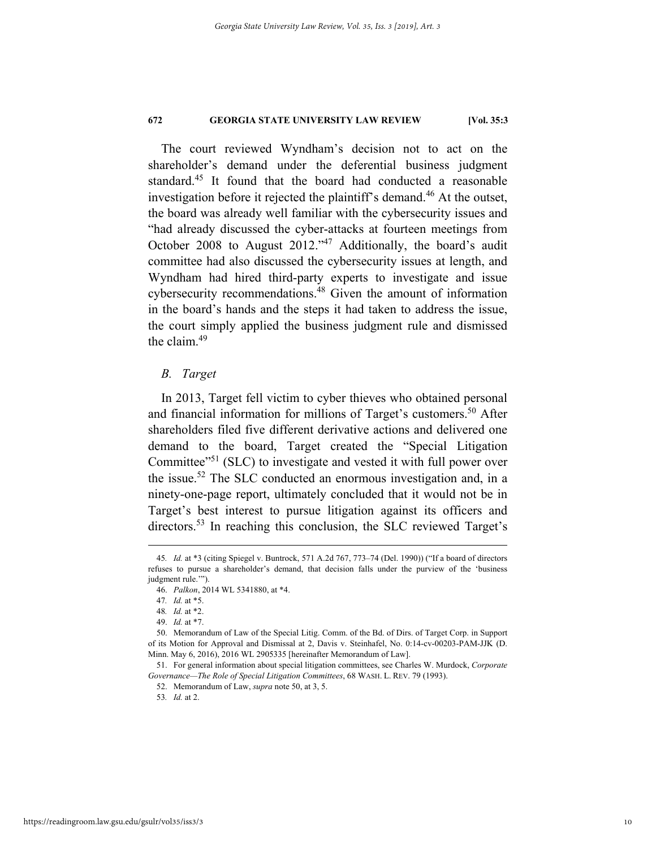The court reviewed Wyndham's decision not to act on the shareholder's demand under the deferential business judgment standard.<sup>45</sup> It found that the board had conducted a reasonable investigation before it rejected the plaintiff's demand.<sup>46</sup> At the outset, the board was already well familiar with the cybersecurity issues and "had already discussed the cyber-attacks at fourteen meetings from October 2008 to August 2012."<sup>47</sup> Additionally, the board's audit committee had also discussed the cybersecurity issues at length, and Wyndham had hired third-party experts to investigate and issue cybersecurity recommendations.48 Given the amount of information in the board's hands and the steps it had taken to address the issue, the court simply applied the business judgment rule and dismissed the claim.<sup>49</sup>

# *B. Target*

In 2013, Target fell victim to cyber thieves who obtained personal and financial information for millions of Target's customers.<sup>50</sup> After shareholders filed five different derivative actions and delivered one demand to the board, Target created the "Special Litigation Committee<sup>"51</sup> (SLC) to investigate and vested it with full power over the issue.<sup>52</sup> The SLC conducted an enormous investigation and, in a ninety-one-page report, ultimately concluded that it would not be in Target's best interest to pursue litigation against its officers and directors.<sup>53</sup> In reaching this conclusion, the SLC reviewed Target's

 <sup>45</sup>*. Id.* at \*3 (citing Spiegel v. Buntrock, 571 A.2d 767, 773–74 (Del. 1990)) ("If a board of directors refuses to pursue a shareholder's demand, that decision falls under the purview of the 'business judgment rule."").

 <sup>46.</sup> *Palkon*, 2014 WL 5341880, at \*4.

<sup>47</sup>*. Id.* at \*5.

<sup>48</sup>*. Id.* at \*2.

 <sup>49.</sup> *Id.* at \*7.

 <sup>50.</sup> Memorandum of Law of the Special Litig. Comm. of the Bd. of Dirs. of Target Corp. in Support of its Motion for Approval and Dismissal at 2, Davis v. Steinhafel, No. 0:14-cv-00203-PAM-JJK (D. Minn. May 6, 2016), 2016 WL 2905335 [hereinafter Memorandum of Law].

 <sup>51.</sup> For general information about special litigation committees, see Charles W. Murdock, *Corporate Governance—The Role of Special Litigation Committees*, 68 WASH. L. REV. 79 (1993).

 <sup>52.</sup> Memorandum of Law, *supra* note 50, at 3, 5.

<sup>53</sup>*. Id.* at 2.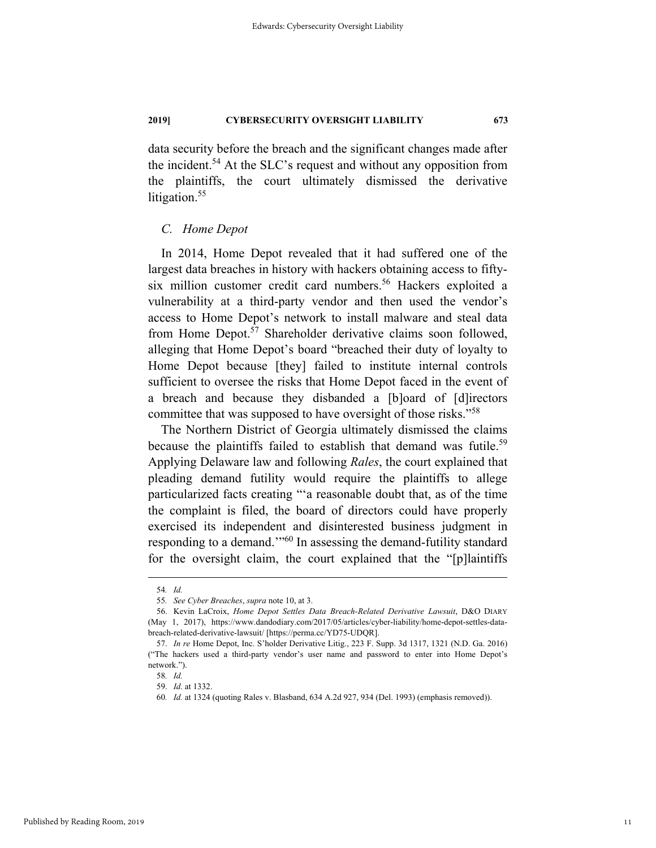data security before the breach and the significant changes made after the incident.<sup>54</sup> At the SLC's request and without any opposition from the plaintiffs, the court ultimately dismissed the derivative litigation.<sup>55</sup>

# *C. Home Depot*

In 2014, Home Depot revealed that it had suffered one of the largest data breaches in history with hackers obtaining access to fiftysix million customer credit card numbers.<sup>56</sup> Hackers exploited a vulnerability at a third-party vendor and then used the vendor's access to Home Depot's network to install malware and steal data from Home Depot.<sup>57</sup> Shareholder derivative claims soon followed, alleging that Home Depot's board "breached their duty of loyalty to Home Depot because [they] failed to institute internal controls sufficient to oversee the risks that Home Depot faced in the event of a breach and because they disbanded a [b]oard of [d]irectors committee that was supposed to have oversight of those risks."<sup>58</sup>

The Northern District of Georgia ultimately dismissed the claims because the plaintiffs failed to establish that demand was futile.<sup>59</sup> Applying Delaware law and following *Rales*, the court explained that pleading demand futility would require the plaintiffs to allege particularized facts creating "'a reasonable doubt that, as of the time the complaint is filed, the board of directors could have properly exercised its independent and disinterested business judgment in responding to a demand."<sup>60</sup> In assessing the demand-futility standard for the oversight claim, the court explained that the "[p]laintiffs

 <sup>54</sup>*. Id.* 

<sup>55</sup>*. See Cyber Breaches*, *supra* note 10, at 3.

 <sup>56.</sup> Kevin LaCroix, *Home Depot Settles Data Breach-Related Derivative Lawsuit*, D&O DIARY (May 1, 2017), https://www.dandodiary.com/2017/05/articles/cyber-liability/home-depot-settles-databreach-related-derivative-lawsuit/ [https://perma.cc/YD75-UDQR].

 <sup>57.</sup> *In re* Home Depot, Inc. S'holder Derivative Litig., 223 F. Supp. 3d 1317, 1321 (N.D. Ga. 2016) ("The hackers used a third-party vendor's user name and password to enter into Home Depot's network.").

<sup>58</sup>*. Id.*

 <sup>59.</sup> *Id*. at 1332.

<sup>60</sup>*. Id.* at 1324 (quoting Rales v. Blasband, 634 A.2d 927, 934 (Del. 1993) (emphasis removed)).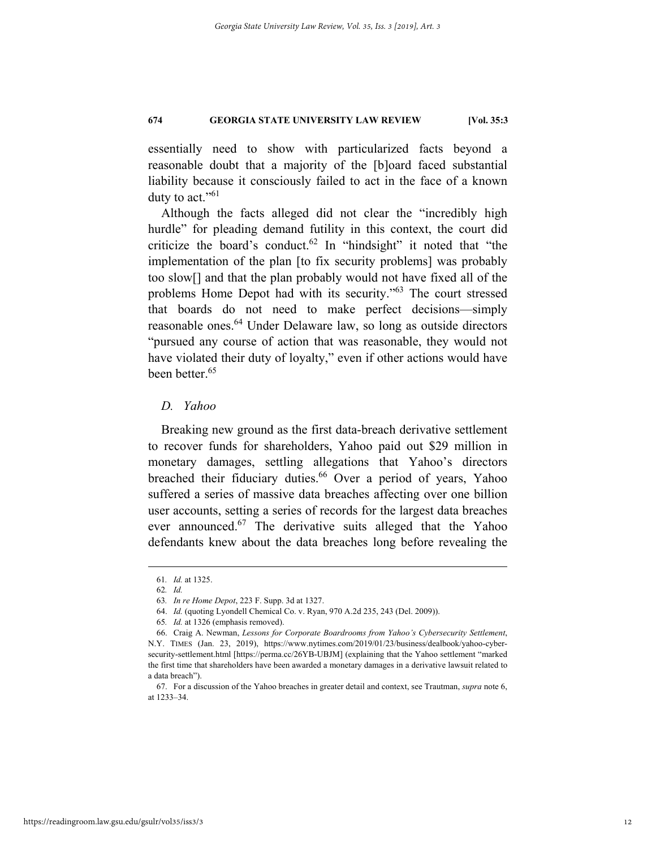essentially need to show with particularized facts beyond a reasonable doubt that a majority of the [b]oard faced substantial liability because it consciously failed to act in the face of a known duty to act." $61$ 

Although the facts alleged did not clear the "incredibly high hurdle" for pleading demand futility in this context, the court did criticize the board's conduct.<sup>62</sup> In "hindsight" it noted that "the implementation of the plan [to fix security problems] was probably too slow[] and that the plan probably would not have fixed all of the problems Home Depot had with its security."63 The court stressed that boards do not need to make perfect decisions—simply reasonable ones.<sup>64</sup> Under Delaware law, so long as outside directors "pursued any course of action that was reasonable, they would not have violated their duty of loyalty," even if other actions would have been better.<sup>65</sup>

# *D. Yahoo*

Breaking new ground as the first data-breach derivative settlement to recover funds for shareholders, Yahoo paid out \$29 million in monetary damages, settling allegations that Yahoo's directors breached their fiduciary duties.<sup>66</sup> Over a period of years, Yahoo suffered a series of massive data breaches affecting over one billion user accounts, setting a series of records for the largest data breaches ever announced.<sup>67</sup> The derivative suits alleged that the Yahoo defendants knew about the data breaches long before revealing the

 <sup>61</sup>*. Id.* at 1325.

<sup>62</sup>*. Id.*

<sup>63</sup>*. In re Home Depot*, 223 F. Supp. 3d at 1327.

 <sup>64.</sup> *Id.* (quoting Lyondell Chemical Co. v. Ryan, 970 A.2d 235, 243 (Del. 2009)).

<sup>65</sup>*. Id.* at 1326 (emphasis removed).

 <sup>66.</sup> Craig A. Newman, *Lessons for Corporate Boardrooms from Yahoo's Cybersecurity Settlement*, N.Y. TIMES (Jan. 23, 2019), https://www.nytimes.com/2019/01/23/business/dealbook/yahoo-cybersecurity-settlement.html [https://perma.cc/26YB-UBJM] (explaining that the Yahoo settlement "marked the first time that shareholders have been awarded a monetary damages in a derivative lawsuit related to a data breach").

 <sup>67.</sup> For a discussion of the Yahoo breaches in greater detail and context, see Trautman, *supra* note 6, at 1233–34.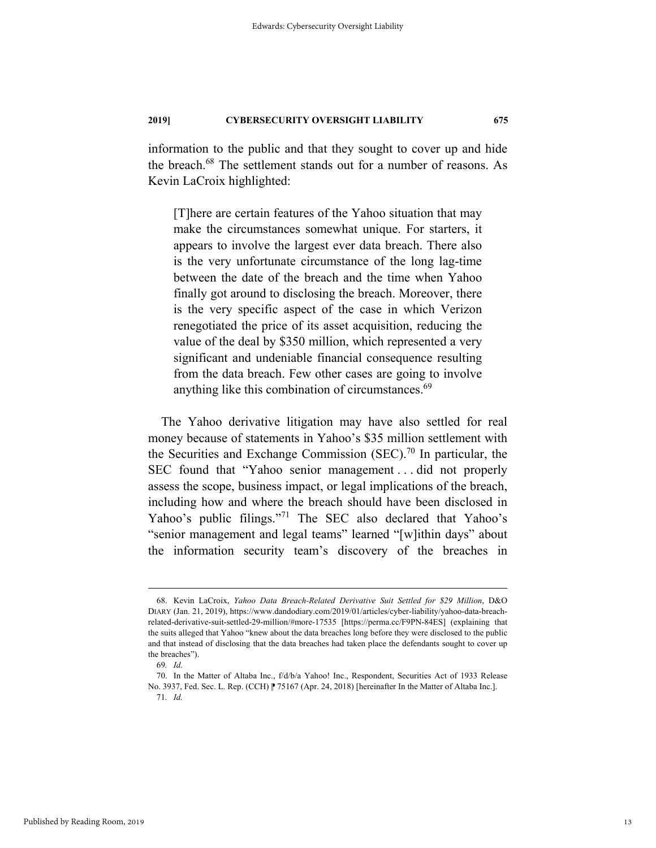information to the public and that they sought to cover up and hide the breach.<sup>68</sup> The settlement stands out for a number of reasons. As Kevin LaCroix highlighted:

[T]here are certain features of the Yahoo situation that may make the circumstances somewhat unique. For starters, it appears to involve the largest ever data breach. There also is the very unfortunate circumstance of the long lag-time between the date of the breach and the time when Yahoo finally got around to disclosing the breach. Moreover, there is the very specific aspect of the case in which Verizon renegotiated the price of its asset acquisition, reducing the value of the deal by \$350 million, which represented a very significant and undeniable financial consequence resulting from the data breach. Few other cases are going to involve anything like this combination of circumstances.<sup>69</sup>

The Yahoo derivative litigation may have also settled for real money because of statements in Yahoo's \$35 million settlement with the Securities and Exchange Commission (SEC).<sup>70</sup> In particular, the SEC found that "Yahoo senior management . . . did not properly assess the scope, business impact, or legal implications of the breach, including how and where the breach should have been disclosed in Yahoo's public filings."<sup>71</sup> The SEC also declared that Yahoo's "senior management and legal teams" learned "[w]ithin days" about the information security team's discovery of the breaches in

 <sup>68.</sup> Kevin LaCroix, *Yahoo Data Breach-Related Derivative Suit Settled for \$29 Million*, D&O DIARY (Jan. 21, 2019), https://www.dandodiary.com/2019/01/articles/cyber-liability/yahoo-data-breachrelated-derivative-suit-settled-29-million/#more-17535 [https://perma.cc/F9PN-84ES] (explaining that the suits alleged that Yahoo "knew about the data breaches long before they were disclosed to the public and that instead of disclosing that the data breaches had taken place the defendants sought to cover up the breaches").

<sup>69</sup>*. Id.* 

 <sup>70.</sup> In the Matter of Altaba Inc., f/d/b/a Yahoo! Inc., Respondent, Securities Act of 1933 Release No. 3937, Fed. Sec. L. Rep. (CCH) | 75167 (Apr. 24, 2018) [hereinafter In the Matter of Altaba Inc.]. 71*. Id.*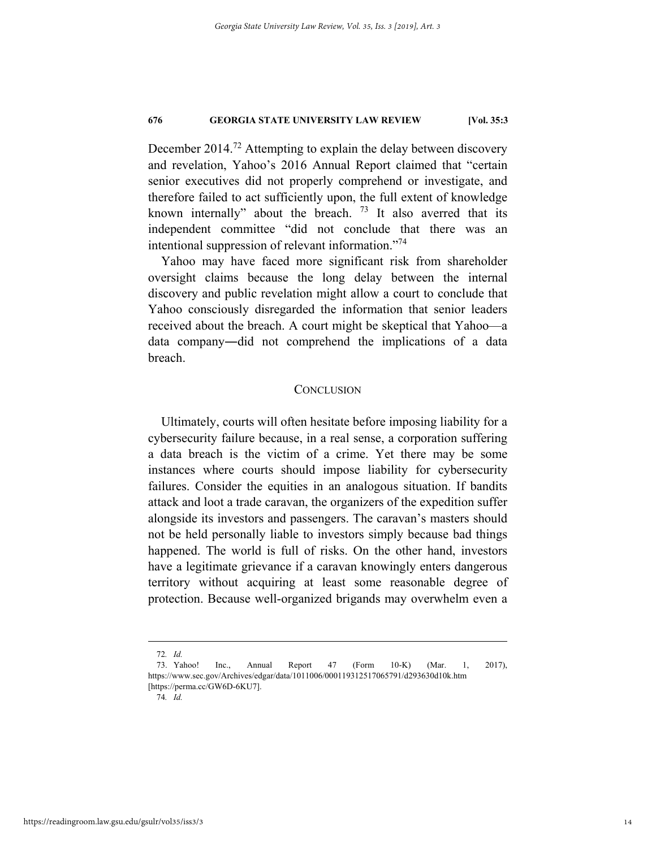December 2014.<sup>72</sup> Attempting to explain the delay between discovery and revelation, Yahoo's 2016 Annual Report claimed that "certain senior executives did not properly comprehend or investigate, and therefore failed to act sufficiently upon, the full extent of knowledge known internally" about the breach.  $73$  It also averred that its independent committee "did not conclude that there was an intentional suppression of relevant information."74

Yahoo may have faced more significant risk from shareholder oversight claims because the long delay between the internal discovery and public revelation might allow a court to conclude that Yahoo consciously disregarded the information that senior leaders received about the breach. A court might be skeptical that Yahoo—a data company―did not comprehend the implications of a data breach.

## **CONCLUSION**

Ultimately, courts will often hesitate before imposing liability for a cybersecurity failure because, in a real sense, a corporation suffering a data breach is the victim of a crime. Yet there may be some instances where courts should impose liability for cybersecurity failures. Consider the equities in an analogous situation. If bandits attack and loot a trade caravan, the organizers of the expedition suffer alongside its investors and passengers. The caravan's masters should not be held personally liable to investors simply because bad things happened. The world is full of risks. On the other hand, investors have a legitimate grievance if a caravan knowingly enters dangerous territory without acquiring at least some reasonable degree of protection. Because well-organized brigands may overwhelm even a

 <sup>72</sup>*. Id.*

 <sup>73.</sup> Yahoo! Inc., Annual Report 47 (Form 10-K) (Mar. 1, 2017), https://www.sec.gov/Archives/edgar/data/1011006/000119312517065791/d293630d10k.htm [https://perma.cc/GW6D-6KU7].

<sup>74</sup>*. Id.*